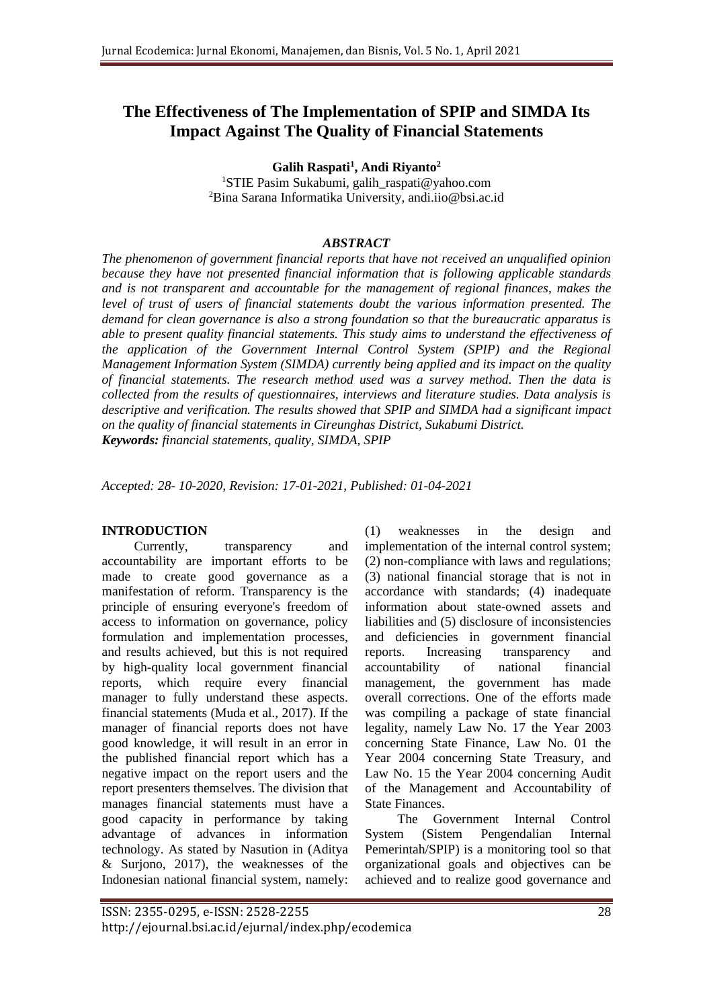# **The Effectiveness of The Implementation of SPIP and SIMDA Its Impact Against The Quality of Financial Statements**

**Galih Raspati<sup>1</sup> , Andi Riyanto<sup>2</sup>**

<sup>1</sup>STIE Pasim Sukabumi, galih raspati@yahoo.com <sup>2</sup>Bina Sarana Informatika University, andi.iio@bsi.ac.id

### *ABSTRACT*

*The phenomenon of government financial reports that have not received an unqualified opinion because they have not presented financial information that is following applicable standards and is not transparent and accountable for the management of regional finances, makes the level of trust of users of financial statements doubt the various information presented. The demand for clean governance is also a strong foundation so that the bureaucratic apparatus is able to present quality financial statements. This study aims to understand the effectiveness of the application of the Government Internal Control System (SPIP) and the Regional Management Information System (SIMDA) currently being applied and its impact on the quality of financial statements. The research method used was a survey method. Then the data is collected from the results of questionnaires, interviews and literature studies. Data analysis is descriptive and verification. The results showed that SPIP and SIMDA had a significant impact on the quality of financial statements in Cireunghas District, Sukabumi District. Keywords: financial statements, quality, SIMDA, SPIP*

*Accepted: 28- 10-2020, Revision: 17-01-2021, Published: 01-04-2021*

#### **INTRODUCTION**

Currently, transparency and accountability are important efforts to be made to create good governance as a manifestation of reform. Transparency is the principle of ensuring everyone's freedom of access to information on governance, policy formulation and implementation processes, and results achieved, but this is not required by high-quality local government financial reports, which require every financial manager to fully understand these aspects. financial statements (Muda et al., 2017). If the manager of financial reports does not have good knowledge, it will result in an error in the published financial report which has a negative impact on the report users and the report presenters themselves. The division that manages financial statements must have a good capacity in performance by taking advantage of advances in information technology. As stated by Nasution in (Aditya & Surjono, 2017), the weaknesses of the Indonesian national financial system, namely:

(1) weaknesses in the design and implementation of the internal control system; (2) non-compliance with laws and regulations; (3) national financial storage that is not in accordance with standards; (4) inadequate information about state-owned assets and liabilities and (5) disclosure of inconsistencies and deficiencies in government financial reports. Increasing transparency and accountability of national financial management, the government has made overall corrections. One of the efforts made was compiling a package of state financial legality, namely Law No. 17 the Year 2003 concerning State Finance, Law No. 01 the Year 2004 concerning State Treasury, and Law No. 15 the Year 2004 concerning Audit of the Management and Accountability of State Finances.

The Government Internal Control System (Sistem Pengendalian Internal Pemerintah/SPIP) is a monitoring tool so that organizational goals and objectives can be achieved and to realize good governance and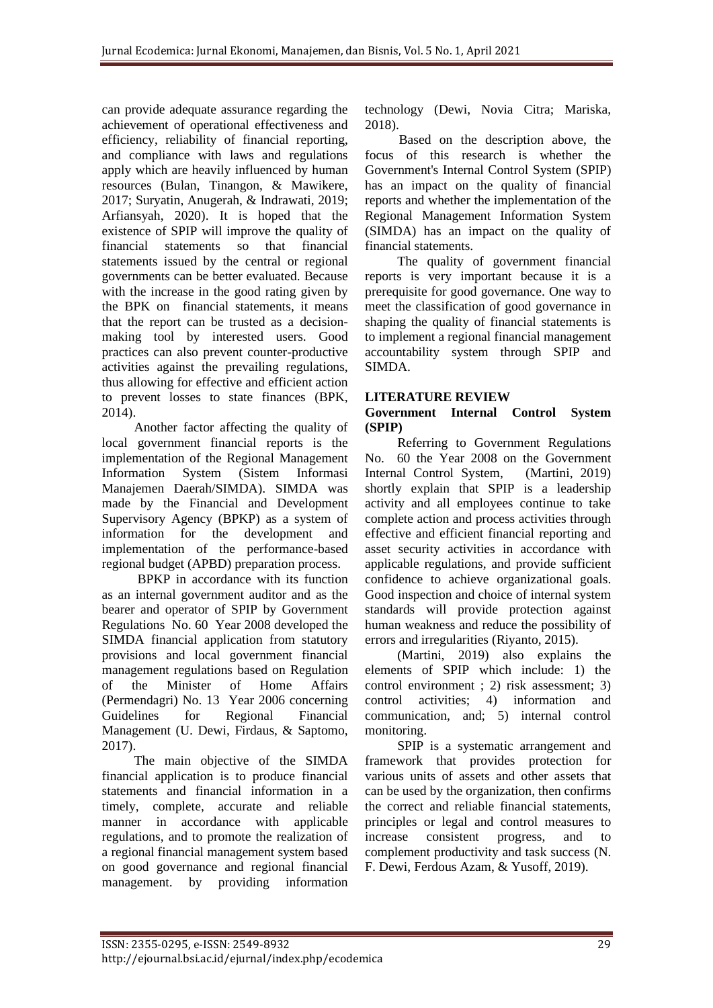can provide adequate assurance regarding the achievement of operational effectiveness and efficiency, reliability of financial reporting, and compliance with laws and regulations apply which are heavily influenced by human resources (Bulan, Tinangon, & Mawikere, 2017; Suryatin, Anugerah, & Indrawati, 2019; Arfiansyah, 2020). It is hoped that the existence of SPIP will improve the quality of financial statements so that financial statements issued by the central or regional governments can be better evaluated. Because with the increase in the good rating given by the BPK on financial statements, it means that the report can be trusted as a decisionmaking tool by interested users. Good practices can also prevent counter-productive activities against the prevailing regulations, thus allowing for effective and efficient action to prevent losses to state finances (BPK, 2014).

Another factor affecting the quality of local government financial reports is the implementation of the Regional Management Information System (Sistem Informasi Manajemen Daerah/SIMDA). SIMDA was made by the Financial and Development Supervisory Agency (BPKP) as a system of information for the development and implementation of the performance-based regional budget (APBD) preparation process.

BPKP in accordance with its function as an internal government auditor and as the bearer and operator of SPIP by Government Regulations No. 60 Year 2008 developed the SIMDA financial application from statutory provisions and local government financial management regulations based on Regulation of the Minister of Home Affairs (Permendagri) No. 13 Year 2006 concerning Guidelines for Regional Financial Management (U. Dewi, Firdaus, & Saptomo, 2017).

The main objective of the SIMDA financial application is to produce financial statements and financial information in a timely, complete, accurate and reliable manner in accordance with applicable regulations, and to promote the realization of a regional financial management system based on good governance and regional financial management. by providing information

technology (Dewi, Novia Citra; Mariska, 2018).

Based on the description above, the focus of this research is whether the Government's Internal Control System (SPIP) has an impact on the quality of financial reports and whether the implementation of the Regional Management Information System (SIMDA) has an impact on the quality of financial statements.

The quality of government financial reports is very important because it is a prerequisite for good governance. One way to meet the classification of good governance in shaping the quality of financial statements is to implement a regional financial management accountability system through SPIP and SIMDA.

## **LITERATURE REVIEW**

### **Government Internal Control System (SPIP)**

Referring to Government Regulations No. 60 the Year 2008 on the Government Internal Control System, (Martini, 2019) shortly explain that SPIP is a leadership activity and all employees continue to take complete action and process activities through effective and efficient financial reporting and asset security activities in accordance with applicable regulations, and provide sufficient confidence to achieve organizational goals. Good inspection and choice of internal system standards will provide protection against human weakness and reduce the possibility of errors and irregularities (Riyanto, 2015).

(Martini, 2019) also explains the elements of SPIP which include: 1) the control environment ; 2) risk assessment; 3) control activities; 4) information and communication, and; 5) internal control monitoring.

SPIP is a systematic arrangement and framework that provides protection for various units of assets and other assets that can be used by the organization, then confirms the correct and reliable financial statements, principles or legal and control measures to increase consistent progress, and to complement productivity and task success (N. F. Dewi, Ferdous Azam, & Yusoff, 2019).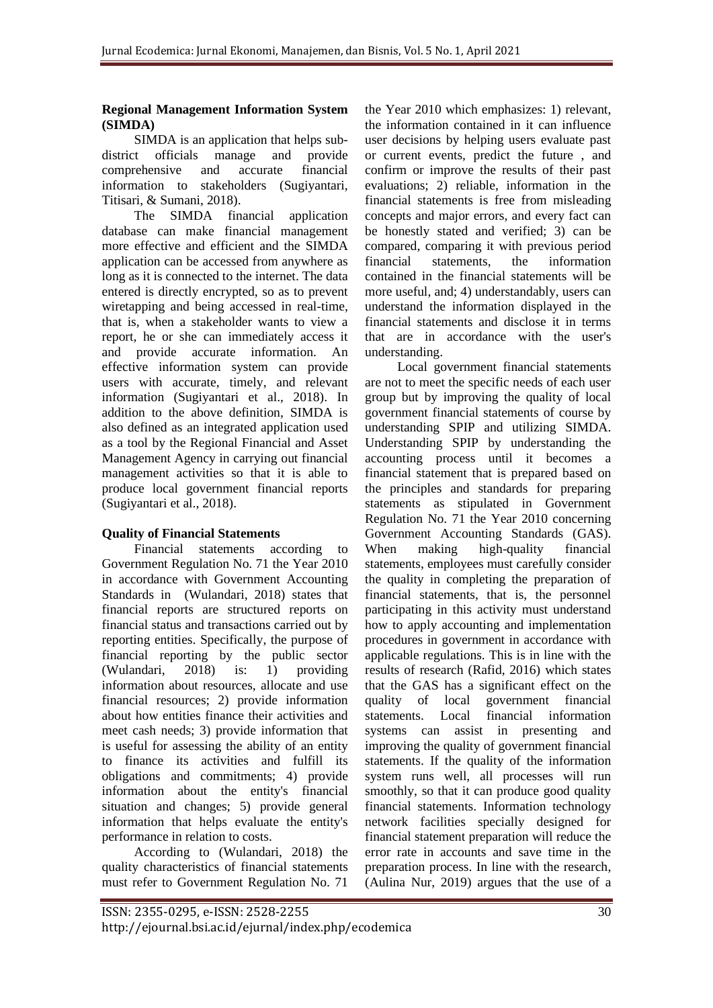### **Regional Management Information System (SIMDA)**

SIMDA is an application that helps subdistrict officials manage and provide comprehensive and accurate financial information to stakeholders (Sugiyantari, Titisari, & Sumani, 2018).

The SIMDA financial application database can make financial management more effective and efficient and the SIMDA application can be accessed from anywhere as long as it is connected to the internet. The data entered is directly encrypted, so as to prevent wiretapping and being accessed in real-time, that is, when a stakeholder wants to view a report, he or she can immediately access it and provide accurate information. An effective information system can provide users with accurate, timely, and relevant information (Sugiyantari et al., 2018). In addition to the above definition, SIMDA is also defined as an integrated application used as a tool by the Regional Financial and Asset Management Agency in carrying out financial management activities so that it is able to produce local government financial reports (Sugiyantari et al., 2018).

## **Quality of Financial Statements**

Financial statements according to Government Regulation No. 71 the Year 2010 in accordance with Government Accounting Standards in (Wulandari, 2018) states that financial reports are structured reports on financial status and transactions carried out by reporting entities. Specifically, the purpose of financial reporting by the public sector (Wulandari, 2018) is: 1) providing information about resources, allocate and use financial resources; 2) provide information about how entities finance their activities and meet cash needs; 3) provide information that is useful for assessing the ability of an entity to finance its activities and fulfill its obligations and commitments; 4) provide information about the entity's financial situation and changes; 5) provide general information that helps evaluate the entity's performance in relation to costs.

According to (Wulandari, 2018) the quality characteristics of financial statements must refer to Government Regulation No. 71

the Year 2010 which emphasizes: 1) relevant, the information contained in it can influence user decisions by helping users evaluate past or current events, predict the future , and confirm or improve the results of their past evaluations; 2) reliable, information in the financial statements is free from misleading concepts and major errors, and every fact can be honestly stated and verified; 3) can be compared, comparing it with previous period financial statements, the information contained in the financial statements will be more useful, and; 4) understandably, users can understand the information displayed in the financial statements and disclose it in terms that are in accordance with the user's understanding.

Local government financial statements are not to meet the specific needs of each user group but by improving the quality of local government financial statements of course by understanding SPIP and utilizing SIMDA. Understanding SPIP by understanding the accounting process until it becomes a financial statement that is prepared based on the principles and standards for preparing statements as stipulated in Government Regulation No. 71 the Year 2010 concerning Government Accounting Standards (GAS). When making high-quality financial statements, employees must carefully consider the quality in completing the preparation of financial statements, that is, the personnel participating in this activity must understand how to apply accounting and implementation procedures in government in accordance with applicable regulations. This is in line with the results of research (Rafid, 2016) which states that the GAS has a significant effect on the quality of local government financial statements. Local financial information systems can assist in presenting and improving the quality of government financial statements. If the quality of the information system runs well, all processes will run smoothly, so that it can produce good quality financial statements. Information technology network facilities specially designed for financial statement preparation will reduce the error rate in accounts and save time in the preparation process. In line with the research, (Aulina Nur, 2019) argues that the use of a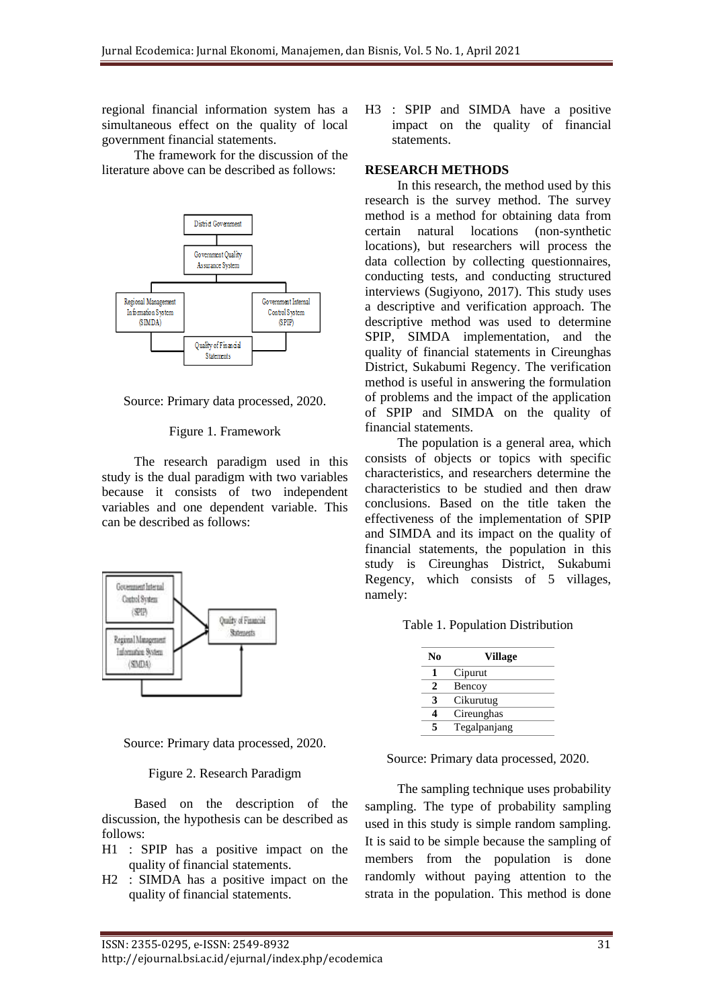regional financial information system has a simultaneous effect on the quality of local government financial statements.

The framework for the discussion of the literature above can be described as follows:





#### Figure 1. Framework

The research paradigm used in this study is the dual paradigm with two variables because it consists of two independent variables and one dependent variable. This can be described as follows:



Source: Primary data processed, 2020.

#### Figure 2. Research Paradigm

Based on the description of the discussion, the hypothesis can be described as follows:

- H1 : SPIP has a positive impact on the quality of financial statements.
- H2 : SIMDA has a positive impact on the quality of financial statements.

H3 : SPIP and SIMDA have a positive impact on the quality of financial statements.

#### **RESEARCH METHODS**

In this research, the method used by this research is the survey method. The survey method is a method for obtaining data from certain natural locations (non-synthetic locations), but researchers will process the data collection by collecting questionnaires, conducting tests, and conducting structured interviews (Sugiyono, 2017). This study uses a descriptive and verification approach. The descriptive method was used to determine SPIP, SIMDA implementation, and the quality of financial statements in Cireunghas District, Sukabumi Regency. The verification method is useful in answering the formulation of problems and the impact of the application of SPIP and SIMDA on the quality of financial statements.

The population is a general area, which consists of objects or topics with specific characteristics, and researchers determine the characteristics to be studied and then draw conclusions. Based on the title taken the effectiveness of the implementation of SPIP and SIMDA and its impact on the quality of financial statements, the population in this study is Cireunghas District, Sukabumi Regency, which consists of 5 villages, namely:

Table 1. Population Distribution

| N0 | <b>Village</b> |
|----|----------------|
| п  | Cipurut        |
| 2  | Bencoy         |
| 3  | Cikurutug      |
|    | Cireunghas     |
| 5  | Tegalpanjang   |

Source: Primary data processed, 2020.

The sampling technique uses probability sampling. The type of probability sampling used in this study is simple random sampling. It is said to be simple because the sampling of members from the population is done randomly without paying attention to the strata in the population. This method is done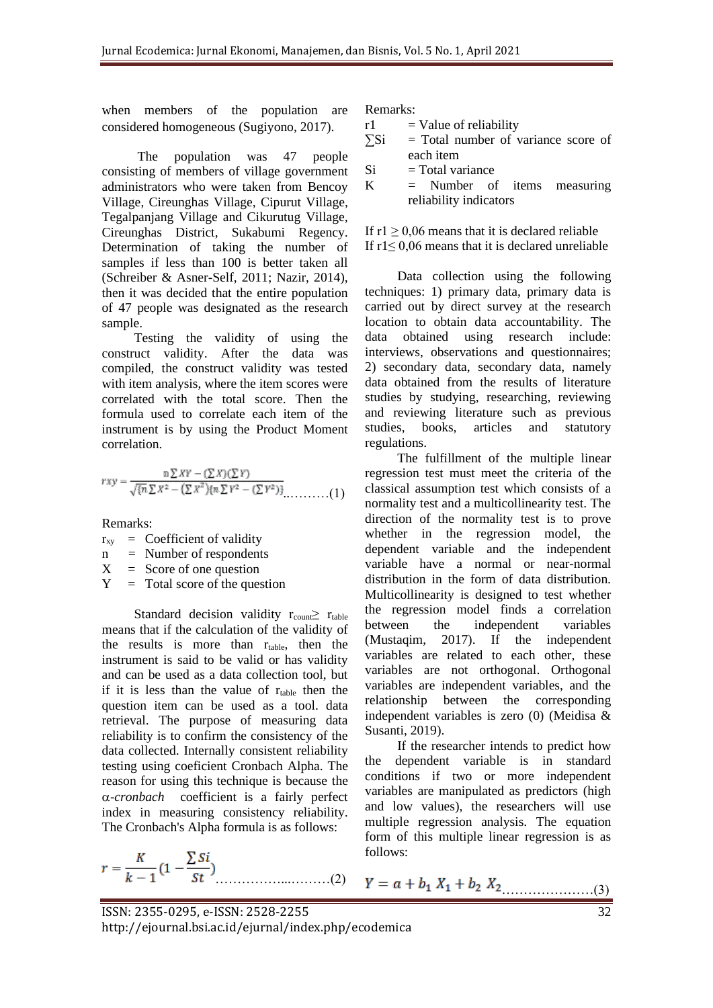when members of the population are considered homogeneous (Sugiyono, 2017).

The population was 47 people consisting of members of village government administrators who were taken from Bencoy Village, Cireunghas Village, Cipurut Village, Tegalpanjang Village and Cikurutug Village, Cireunghas District, Sukabumi Regency. Determination of taking the number of samples if less than 100 is better taken all (Schreiber & Asner-Self, 2011; Nazir, 2014), then it was decided that the entire population of 47 people was designated as the research sample.

Testing the validity of using the construct validity. After the data was compiled, the construct validity was tested with item analysis, where the item scores were correlated with the total score. Then the formula used to correlate each item of the instrument is by using the Product Moment correlation.

$$
rxy = \frac{n\sum XY - (\sum X)(\sum Y)}{\sqrt{\{n\sum X^2 - (\sum X^2)(n\sum Y^2 - (\sum Y^2))\}}}
$$
 (1)

Remarks:

 $r_{xy}$  = Coefficient of validity

 $n =$  Number of respondents

 $X =$  Score of one question

 $Y = \text{Total score of the question}$ 

Standard decision validity  $r_{\text{count}} \ge r_{\text{table}}$ means that if the calculation of the validity of the results is more than  $r_{table}$ , then the instrument is said to be valid or has validity and can be used as a data collection tool, but if it is less than the value of  $r_{table}$  then the question item can be used as a tool. data retrieval. The purpose of measuring data reliability is to confirm the consistency of the data collected. Internally consistent reliability testing using coeficient Cronbach Alpha. The reason for using this technique is because the -*cronbach* coefficient is a fairly perfect index in measuring consistency reliability. The Cronbach's Alpha formula is as follows:

$$
r = \frac{K}{k-1} (1 - \frac{\sum Si}{St}) \dots (2)
$$

Remarks:

 $r1 = Value of reliability$ 

 $\sum$ Si = Total number of variance score of each item

 $Si = Total variance$ 

 $K =$  Number of items measuring reliability indicators

If  $r1 \ge 0.06$  means that it is declared reliable If r1≤ 0,06 means that it is declared unreliable

Data collection using the following techniques: 1) primary data, primary data is carried out by direct survey at the research location to obtain data accountability. The data obtained using research include: interviews, observations and questionnaires; 2) secondary data, secondary data, namely data obtained from the results of literature studies by studying, researching, reviewing and reviewing literature such as previous studies, books, articles and statutory regulations.

The fulfillment of the multiple linear regression test must meet the criteria of the classical assumption test which consists of a normality test and a multicollinearity test. The direction of the normality test is to prove whether in the regression model, the dependent variable and the independent variable have a normal or near-normal distribution in the form of data distribution. Multicollinearity is designed to test whether the regression model finds a correlation between the independent variables (Mustaqim, 2017). If the independent variables are related to each other, these variables are not orthogonal. Orthogonal variables are independent variables, and the relationship between the corresponding independent variables is zero (0) (Meidisa & Susanti, 2019).

If the researcher intends to predict how the dependent variable is in standard conditions if two or more independent variables are manipulated as predictors (high and low values), the researchers will use multiple regression analysis. The equation form of this multiple linear regression is as follows:

 $Y = a + b_1 X_1 + b_2 X_2$  (3)

ISSN: 2355-0295, e-ISSN: 2528-2255 32 http://ejournal.bsi.ac.id/ejurnal/index.php/ecodemica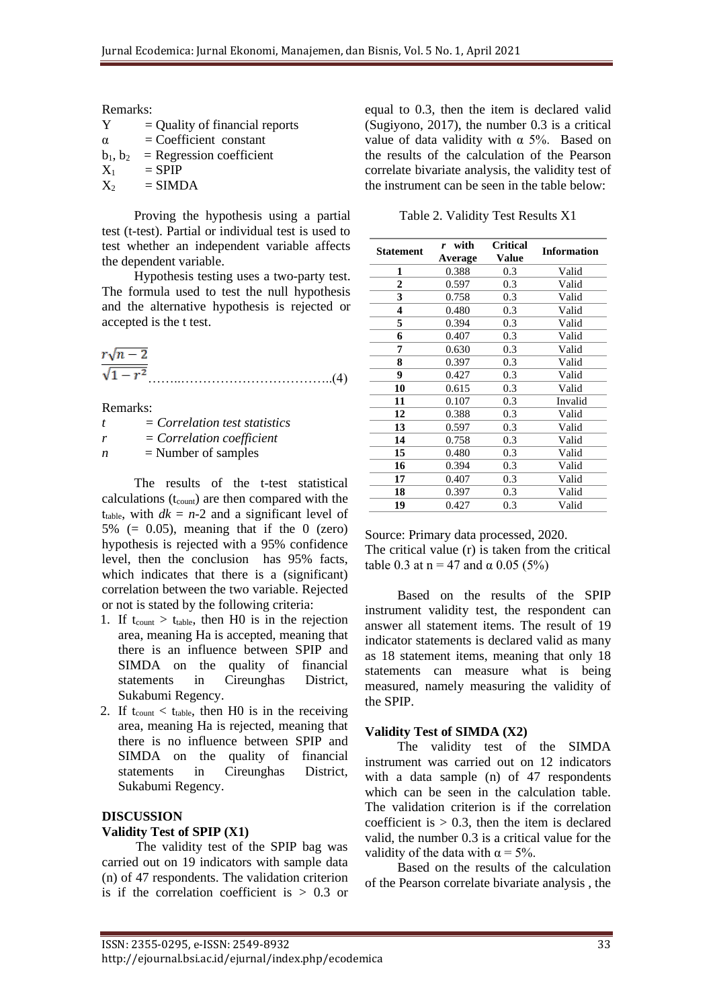Remarks:

| $\bf v$ | $=$ Quality of financial reports |
|---------|----------------------------------|
|---------|----------------------------------|

 $\alpha$  = Coefficient constant  $b_1, b_2$  = Regression coefficient  $X_1$  = SPIP

 $X_2 = SIMDA$ 

Proving the hypothesis using a partial test (t-test). Partial or individual test is used to test whether an independent variable affects the dependent variable.

Hypothesis testing uses a two-party test. The formula used to test the null hypothesis and the alternative hypothesis is rejected or accepted is the t test.

| $r\sqrt{n}$ – |  |
|---------------|--|
|               |  |

Remarks:

|   | $= Correlation$ test statistics |
|---|---------------------------------|
| r | $= Correlation coefficient$     |

 $n =$ Number of samples

The results of the t-test statistical calculations (t<sub>count</sub>) are then compared with the t<sub>table</sub>, with  $dk = n-2$  and a significant level of 5%  $(= 0.05)$ , meaning that if the 0 (zero) hypothesis is rejected with a 95% confidence level, then the conclusion has 95% facts, which indicates that there is a (significant) correlation between the two variable. Rejected or not is stated by the following criteria:

- 1. If  $t_{\text{count}} > t_{\text{table}}$ , then H0 is in the rejection area, meaning Ha is accepted, meaning that there is an influence between SPIP and SIMDA on the quality of financial statements in Cireunghas District, Sukabumi Regency.
- 2. If  $t_{\text{count}} < t_{\text{table}}$ , then H0 is in the receiving area, meaning Ha is rejected, meaning that there is no influence between SPIP and SIMDA on the quality of financial statements in Cireunghas District, Sukabumi Regency.

#### **DISCUSSION**

#### **Validity Test of SPIP (X1)**

The validity test of the SPIP bag was carried out on 19 indicators with sample data (n) of 47 respondents. The validation criterion is if the correlation coefficient is  $> 0.3$  or equal to 0.3, then the item is declared valid (Sugiyono, 2017), the number 0.3 is a critical value of data validity with  $\alpha$  5%. Based on the results of the calculation of the Pearson correlate bivariate analysis, the validity test of the instrument can be seen in the table below:

Table 2. Validity Test Results X1

| <b>Statement</b> | with<br>r<br>Average | <b>Critical</b><br>Value | <b>Information</b> |
|------------------|----------------------|--------------------------|--------------------|
| 1                | 0.388                | 0.3                      | Valid              |
| 2                | 0.597                | 0.3                      | Valid              |
| 3                | 0.758                | 0.3                      | Valid              |
| 4                | 0.480                | 0.3                      | Valid              |
| 5                | 0.394                | 0.3                      | Valid              |
| 6                | 0.407                | 0.3                      | Valid              |
| 7                | 0.630                | 0.3                      | Valid              |
| 8                | 0.397                | 0.3                      | Valid              |
| 9                | 0.427                | 0.3                      | Valid              |
| 10               | 0.615                | 0.3                      | Valid              |
| 11               | 0.107                | 0.3                      | Invalid            |
| 12               | 0.388                | 0.3                      | Valid              |
| 13               | 0.597                | 0.3                      | Valid              |
| 14               | 0.758                | 0.3                      | Valid              |
| 15               | 0.480                | 0.3                      | Valid              |
| 16               | 0.394                | 0.3                      | Valid              |
| 17               | 0.407                | 0.3                      | Valid              |
| 18               | 0.397                | 0.3                      | Valid              |
| 19               | 0.427                | 0.3                      | Valid              |

Source: Primary data processed, 2020. The critical value (r) is taken from the critical table 0.3 at  $n = 47$  and  $\alpha$  0.05 (5%)

Based on the results of the SPIP instrument validity test, the respondent can answer all statement items. The result of 19 indicator statements is declared valid as many as 18 statement items, meaning that only 18 statements can measure what is being measured, namely measuring the validity of the SPIP.

#### **Validity Test of SIMDA (X2)**

The validity test of the SIMDA instrument was carried out on 12 indicators with a data sample (n) of 47 respondents which can be seen in the calculation table. The validation criterion is if the correlation coefficient is  $> 0.3$ , then the item is declared valid, the number 0.3 is a critical value for the validity of the data with  $\alpha = 5\%$ .

Based on the results of the calculation of the Pearson correlate bivariate analysis , the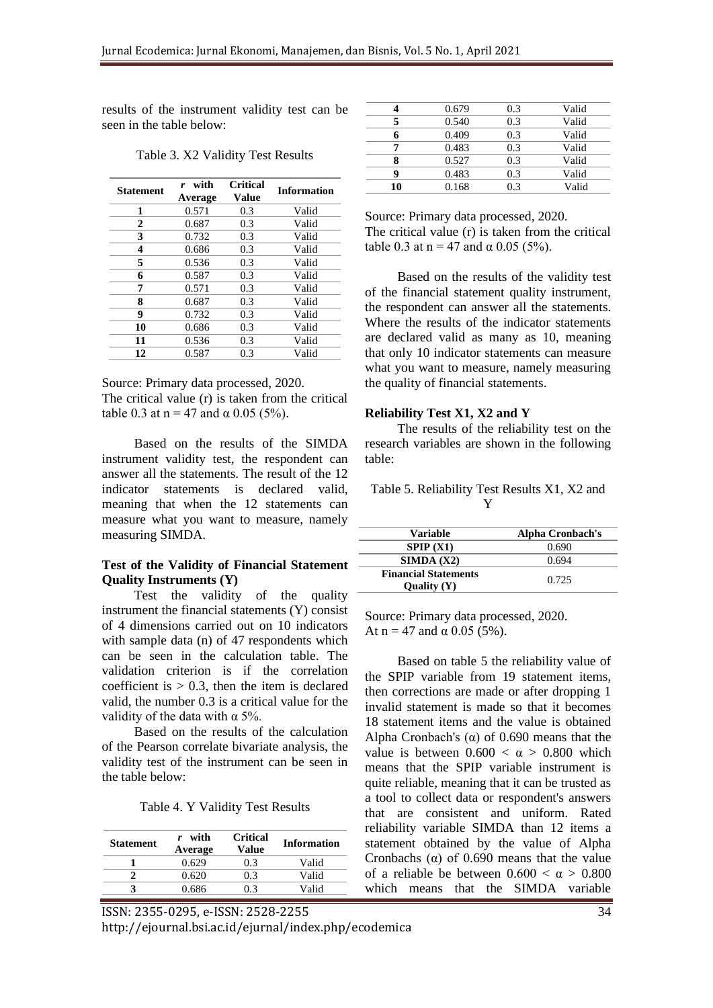results of the instrument validity test can be seen in the table below:

| <b>Statement</b> | with<br>r<br>Average | <b>Critical</b><br>Value | <b>Information</b> |
|------------------|----------------------|--------------------------|--------------------|
| 1                | 0.571                | 0.3                      | Valid              |
| 2                | 0.687                | 0.3                      | Valid              |
| 3                | 0.732                | 0.3                      | Valid              |
| 4                | 0.686                | 0.3                      | Valid              |
| 5                | 0.536                | 0.3                      | Valid              |
| 6                | 0.587                | 0.3                      | Valid              |
| 7                | 0.571                | 0.3                      | Valid              |
| 8                | 0.687                | 0.3                      | Valid              |
| 9                | 0.732                | 0.3                      | Valid              |
| 10               | 0.686                | 0.3                      | Valid              |
| 11               | 0.536                | 0.3                      | Valid              |
| 12               | 0.587                | 0.3                      | Valid              |

Table 3. X2 Validity Test Results

Source: Primary data processed, 2020.

The critical value (r) is taken from the critical table 0.3 at  $n = 47$  and  $\alpha$  0.05 (5%).

Based on the results of the SIMDA instrument validity test, the respondent can answer all the statements. The result of the 12 indicator statements is declared valid, meaning that when the 12 statements can measure what you want to measure, namely measuring SIMDA.

#### **Test of the Validity of Financial Statement Quality Instruments (Y)**

Test the validity of the quality instrument the financial statements (Y) consist of 4 dimensions carried out on 10 indicators with sample data (n) of 47 respondents which can be seen in the calculation table. The validation criterion is if the correlation coefficient is  $> 0.3$ , then the item is declared valid, the number 0.3 is a critical value for the validity of the data with  $\alpha$  5%.

Based on the results of the calculation of the Pearson correlate bivariate analysis, the validity test of the instrument can be seen in the table below:

Table 4. Y Validity Test Results

| <b>Statement</b> | with<br>Average | <b>Critical</b><br>Value | <b>Information</b> |
|------------------|-----------------|--------------------------|--------------------|
|                  | 0.629           | 0.3                      | Valid              |
|                  | 0.620           | 0.3                      | Valid              |
|                  | 0.686           | በ 3                      | Valid              |

|    | 0.679 | 0.3 | Valid |
|----|-------|-----|-------|
|    | 0.540 | 0.3 | Valid |
|    | 0.409 | 0.3 | Valid |
|    | 0.483 | 0.3 | Valid |
|    | 0.527 | 0.3 | Valid |
|    | 0.483 | 0.3 | Valid |
| 10 | 0.168 | ገ 3 | Valid |

Source: Primary data processed, 2020. The critical value (r) is taken from the critical table 0.3 at  $n = 47$  and  $\alpha$  0.05 (5%).

Based on the results of the validity test of the financial statement quality instrument, the respondent can answer all the statements. Where the results of the indicator statements are declared valid as many as 10, meaning that only 10 indicator statements can measure what you want to measure, namely measuring the quality of financial statements.

#### **Reliability Test X1, X2 and Y**

The results of the reliability test on the research variables are shown in the following table:

Table 5. Reliability Test Results X1, X2 and Y

| Variable                    | <b>Alpha Cronbach's</b> |
|-----------------------------|-------------------------|
| SPIP(X1)                    | 0.690                   |
| SIMDA(X2)                   | 0.694                   |
| <b>Financial Statements</b> | 0.725                   |
| Quality $(Y)$               |                         |
|                             |                         |

Source: Primary data processed, 2020. At  $n = 47$  and  $\alpha$  0.05 (5%).

Based on table 5 the reliability value of the SPIP variable from 19 statement items, then corrections are made or after dropping 1 invalid statement is made so that it becomes 18 statement items and the value is obtained Alpha Cronbach's  $(\alpha)$  of 0.690 means that the value is between  $0.600 < \alpha > 0.800$  which means that the SPIP variable instrument is quite reliable, meaning that it can be trusted as a tool to collect data or respondent's answers that are consistent and uniform. Rated reliability variable SIMDA than 12 items a statement obtained by the value of Alpha Cronbachs ( $\alpha$ ) of 0.690 means that the value of a reliable be between  $0.600 \le \alpha > 0.800$ which means that the SIMDA variable

ISSN: 2355-0295, e-ISSN: 2528-2255 34 http://ejournal.bsi.ac.id/ejurnal/index.php/ecodemica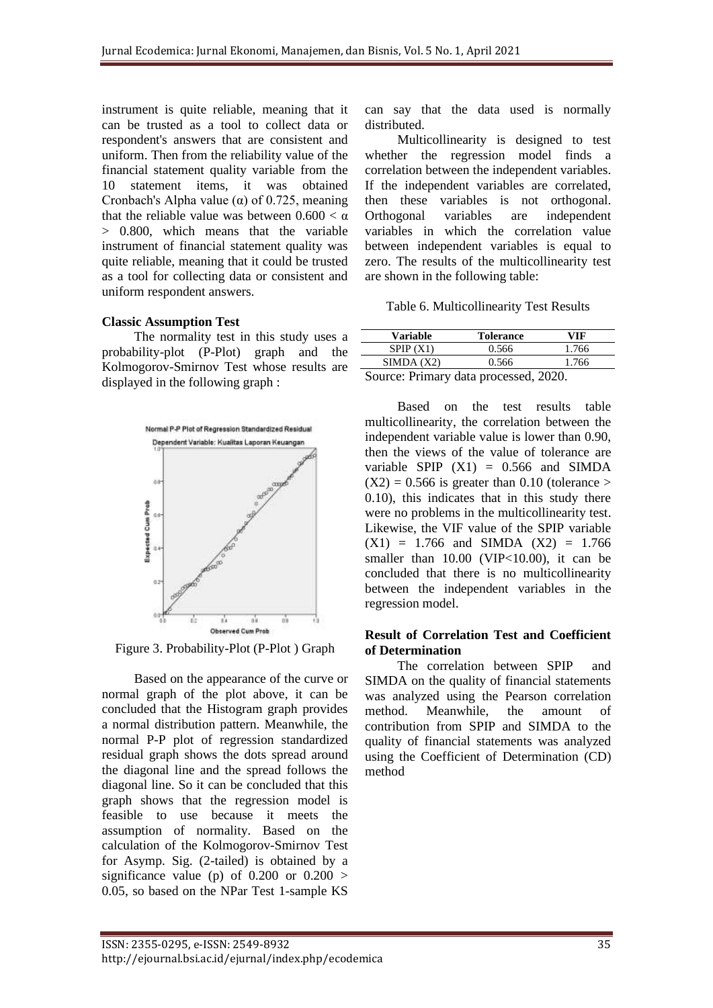instrument is quite reliable, meaning that it can be trusted as a tool to collect data or respondent's answers that are consistent and uniform. Then from the reliability value of the financial statement quality variable from the 10 statement items, it was obtained Cronbach's Alpha value (α) of 0.725, meaning that the reliable value was between  $0.600 < \alpha$ > 0.800, which means that the variable instrument of financial statement quality was quite reliable, meaning that it could be trusted as a tool for collecting data or consistent and uniform respondent answers.

#### **Classic Assumption Test**

The normality test in this study uses a probability-plot (P-Plot) graph and the Kolmogorov-Smirnov Test whose results are displayed in the following graph :



Figure 3. Probability-Plot (P-Plot ) Graph

Based on the appearance of the curve or normal graph of the plot above, it can be concluded that the Histogram graph provides a normal distribution pattern. Meanwhile, the normal P-P plot of regression standardized residual graph shows the dots spread around the diagonal line and the spread follows the diagonal line. So it can be concluded that this graph shows that the regression model is feasible to use because it meets the assumption of normality. Based on the calculation of the Kolmogorov-Smirnov Test for Asymp. Sig. (2-tailed) is obtained by a significance value (p) of  $0.200$  or  $0.200$  > 0.05, so based on the NPar Test 1-sample KS

can say that the data used is normally distributed.

Multicollinearity is designed to test whether the regression model finds a correlation between the independent variables. If the independent variables are correlated, then these variables is not orthogonal. Orthogonal variables are independent variables in which the correlation value between independent variables is equal to zero. The results of the multicollinearity test are shown in the following table:

Table 6. Multicollinearity Test Results

| <b>Variable</b>                     | <b>Tolerance</b> | VIF   |  |  |  |
|-------------------------------------|------------------|-------|--|--|--|
| SPIP(X1)                            | 0.566            | 1.766 |  |  |  |
| SIMDA(X2)                           | 0.566            | 1.766 |  |  |  |
| Source: Primary data processed 2020 |                  |       |  |  |  |

Source: Primary data processed, 2020.

Based on the test results table multicollinearity, the correlation between the independent variable value is lower than 0.90, then the views of the value of tolerance are variable SPIP  $(X1) = 0.566$  and SIMDA  $(X2) = 0.566$  is greater than 0.10 (tolerance > 0.10), this indicates that in this study there were no problems in the multicollinearity test. Likewise, the VIF value of the SPIP variable  $(X1) = 1.766$  and SIMDA  $(X2) = 1.766$ smaller than 10.00 (VIP<10.00), it can be concluded that there is no multicollinearity between the independent variables in the regression model.

#### **Result of Correlation Test and Coefficient of Determination**

The correlation between SPIP and SIMDA on the quality of financial statements was analyzed using the Pearson correlation method. Meanwhile, the amount of contribution from SPIP and SIMDA to the quality of financial statements was analyzed using the Coefficient of Determination (CD) method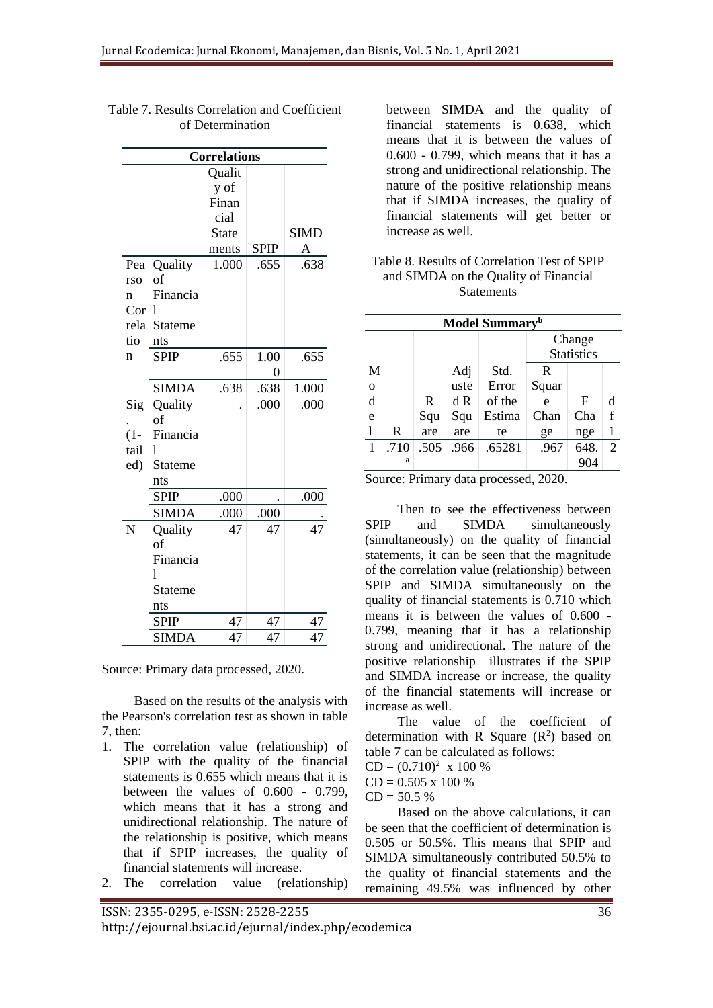|             | <b>Correlations</b> |              |             |                 |  |  |
|-------------|---------------------|--------------|-------------|-----------------|--|--|
|             |                     | Qualit       |             |                 |  |  |
|             |                     | y of         |             |                 |  |  |
|             |                     | Finan        |             |                 |  |  |
|             |                     | cial         |             |                 |  |  |
|             |                     | <b>State</b> |             | <b>SIMD</b>     |  |  |
|             |                     | ments        | <b>SPIP</b> | Α               |  |  |
| Pea         | Quality             | 1.000        | .655        | .638            |  |  |
| rso         | of                  |              |             |                 |  |  |
| $\mathbf n$ | Financia            |              |             |                 |  |  |
| Cor         | $\overline{1}$      |              |             |                 |  |  |
|             | rela Stateme        |              |             |                 |  |  |
| tio         | nts                 |              |             |                 |  |  |
| n           | <b>SPIP</b>         | .655         | 1.00        | .655            |  |  |
|             |                     |              | 0           |                 |  |  |
|             | <b>SIMDA</b>        | .638         | .638        | 1.000           |  |  |
| Sig         | Quality             |              | .000        | .000            |  |  |
|             | of                  |              |             |                 |  |  |
| $(1 -$      | Financia            |              |             |                 |  |  |
| tail        | 1                   |              |             |                 |  |  |
| ed)         | <b>Stateme</b>      |              |             |                 |  |  |
|             | nts                 |              |             |                 |  |  |
|             | <b>SPIP</b>         | .000         |             | .000            |  |  |
|             | <b>SIMDA</b>        | .000         | .000        |                 |  |  |
| N           | Quality             | 47           | 47          | $\overline{47}$ |  |  |
|             | of                  |              |             |                 |  |  |
|             | Financia            |              |             |                 |  |  |
|             | 1                   |              |             |                 |  |  |
|             | Stateme             |              |             |                 |  |  |
|             | nts                 |              |             |                 |  |  |
|             | <b>SPIP</b>         | 47           | 47          | 47              |  |  |
|             | <b>SIMDA</b>        | 47           | 47          | 47              |  |  |

Table 7. Results Correlation and Coefficient of Determination

Source: Primary data processed, 2020.

Based on the results of the analysis with the Pearson's correlation test as shown in table 7, then:

- 1. The correlation value (relationship) of SPIP with the quality of the financial statements is 0.655 which means that it is between the values of 0.600 - 0.799, which means that it has a strong and unidirectional relationship. The nature of the relationship is positive, which means that if SPIP increases, the quality of financial statements will increase.
- 2. The correlation value (relationship)

between SIMDA and the quality of financial statements is 0.638, which means that it is between the values of 0.600 - 0.799, which means that it has a strong and unidirectional relationship. The nature of the positive relationship means that if SIMDA increases, the quality of financial statements will get better or increase as well.

#### Table 8. Results of Correlation Test of SPIP and SIMDA on the Quality of Financial **Statements**

| Model Summary <sup>b</sup> |      |      |      |        |        |                   |                |
|----------------------------|------|------|------|--------|--------|-------------------|----------------|
|                            |      |      |      |        | Change |                   |                |
|                            |      |      |      |        |        | <b>Statistics</b> |                |
| M                          |      |      | Adj  | Std.   | R      |                   |                |
| $\Omega$                   |      |      | uste | Error  | Squar  |                   |                |
| d                          |      | R.   | dR   | of the | e      | F                 | d              |
| e                          |      | Squ  | Squ  | Estima | Chan   | Cha               | f              |
|                            | R    | are  | are  | te     | ge     | nge               | 1              |
|                            | .710 | .505 | .966 | .65281 | .967   | 648.              | $\overline{2}$ |
|                            | a    |      |      |        |        |                   |                |

Source: Primary data processed, 2020.

Then to see the effectiveness between SPIP and SIMDA simultaneously (simultaneously) on the quality of financial statements, it can be seen that the magnitude of the correlation value (relationship) between SPIP and SIMDA simultaneously on the quality of financial statements is 0.710 which means it is between the values of 0.600 - 0.799, meaning that it has a relationship strong and unidirectional. The nature of the positive relationship illustrates if the SPIP and SIMDA increase or increase, the quality of the financial statements will increase or increase as well.

The value of the coefficient of determination with R Square  $(R^2)$  based on table 7 can be calculated as follows:

 $CD = (0.710)^2$  x 100 %

 $CD = 0.505 \times 100 \%$ 

 $CD = 50.5 %$ 

Based on the above calculations, it can be seen that the coefficient of determination is 0.505 or 50.5%. This means that SPIP and SIMDA simultaneously contributed 50.5% to the quality of financial statements and the remaining 49.5% was influenced by other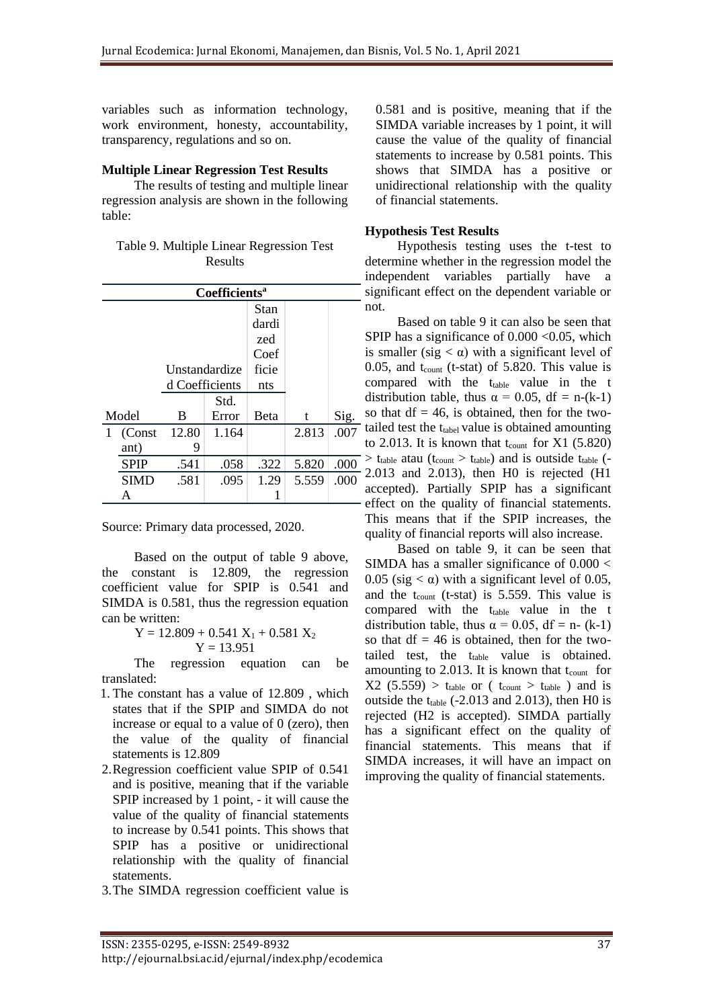variables such as information technology, work environment, honesty, accountability, transparency, regulations and so on.

#### **Multiple Linear Regression Test Results**

The results of testing and multiple linear regression analysis are shown in the following table:

| Table 9. Multiple Linear Regression Test |
|------------------------------------------|
| Results                                  |

| Coefficients <sup>a</sup> |             |                |       |       |       |      |  |  |  |
|---------------------------|-------------|----------------|-------|-------|-------|------|--|--|--|
|                           |             |                |       | Stan  |       |      |  |  |  |
|                           |             |                |       | dardi |       |      |  |  |  |
|                           |             |                |       | zed   |       |      |  |  |  |
|                           |             |                |       | Coef  |       |      |  |  |  |
|                           |             | Unstandardize  |       | ficie |       |      |  |  |  |
|                           |             | d Coefficients |       | nts   |       |      |  |  |  |
|                           |             |                | Std.  |       |       |      |  |  |  |
| Model                     |             | B              | Error | Beta  | t     | Sig. |  |  |  |
| 1                         | (Const      | 12.80          | 1.164 |       | 2.813 | .007 |  |  |  |
|                           | ant)        | 9              |       |       |       |      |  |  |  |
|                           | <b>SPIP</b> | .541           | .058  | .322  | 5.820 | .000 |  |  |  |
|                           | <b>SIMD</b> | .581           | .095  | 1.29  | 5.559 | .000 |  |  |  |
|                           | A           |                |       |       |       |      |  |  |  |

Source: Primary data processed, 2020.

Based on the output of table 9 above, the constant is 12.809, the regression coefficient value for SPIP is 0.541 and SIMDA is 0.581, thus the regression equation can be written:

 $Y = 12.809 + 0.541 X_1 + 0.581 X_2$  $Y = 13.951$ 

The regression equation can be translated:

- 1. The constant has a value of 12.809 , which states that if the SPIP and SIMDA do not increase or equal to a value of 0 (zero), then the value of the quality of financial statements is 12.809
- 2.Regression coefficient value SPIP of 0.541 and is positive, meaning that if the variable SPIP increased by 1 point, - it will cause the value of the quality of financial statements to increase by 0.541 points. This shows that SPIP has a positive or unidirectional relationship with the quality of financial statements.
- 3.The SIMDA regression coefficient value is

0.581 and is positive, meaning that if the SIMDA variable increases by 1 point, it will cause the value of the quality of financial statements to increase by 0.581 points. This shows that SIMDA has a positive or unidirectional relationship with the quality of financial statements.

### **Hypothesis Test Results**

Hypothesis testing uses the t-test to determine whether in the regression model the independent variables partially have a significant effect on the dependent variable or not.

Based on table 9 it can also be seen that SPIP has a significance of  $0.000 \le 0.05$ , which is smaller (sig  $< \alpha$ ) with a significant level of 0.05, and  $t_{\text{count}}$  (t-stat) of 5.820. This value is compared with the ttable value in the t distribution table, thus  $\alpha = 0.05$ , df = n-(k-1) so that  $df = 46$ , is obtained, then for the twotailed test the  $t_{table}$  value is obtained amounting to 2.013. It is known that  $t_{count}$  for X1 (5.820)  $> t_{table}$  atau (t<sub>count</sub>  $> t_{table}$ ) and is outside t<sub>table</sub> (-2.013 and 2.013), then H0 is rejected (H1 accepted). Partially SPIP has a significant effect on the quality of financial statements. This means that if the SPIP increases, the quality of financial reports will also increase.

Based on table 9, it can be seen that SIMDA has a smaller significance of 0.000 < 0.05 (sig  $< \alpha$ ) with a significant level of 0.05, and the  $t_{\text{count}}$  (t-stat) is 5.559. This value is compared with the ttable value in the t distribution table, thus  $\alpha = 0.05$ , df = n- (k-1) so that  $df = 46$  is obtained, then for the twotailed test, the t<sub>table</sub> value is obtained. amounting to 2.013. It is known that  $t_{count}$  for  $X2 (5.559) > t_{table}$  or ( $t_{count} > t_{table}$ ) and is outside the  $t_{table}$  (-2.013 and 2.013), then H0 is rejected (H2 is accepted). SIMDA partially has a significant effect on the quality of financial statements. This means that if SIMDA increases, it will have an impact on improving the quality of financial statements.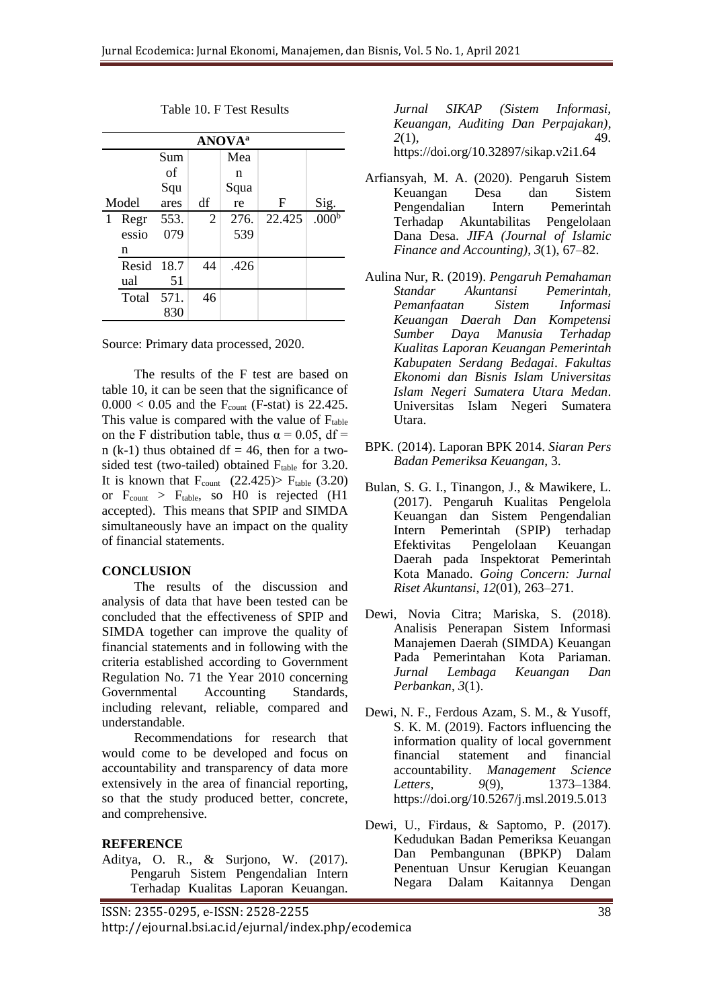| <b>ANOVA</b> <sup>a</sup> |       |       |                |      |        |                   |  |  |  |
|---------------------------|-------|-------|----------------|------|--------|-------------------|--|--|--|
|                           |       | Sum   |                | Mea  |        |                   |  |  |  |
|                           |       | of    |                | n    |        |                   |  |  |  |
|                           |       | Squ   |                | Squa |        |                   |  |  |  |
| Model                     |       | ares  | df             | re   | F      | Sig.              |  |  |  |
| 1                         | Regr  | 553.  | $\overline{2}$ | 276. | 22.425 | .000 <sup>b</sup> |  |  |  |
|                           | essio | 079   |                | 539  |        |                   |  |  |  |
|                           | n     |       |                |      |        |                   |  |  |  |
|                           | Resid | -18.7 | 44             | .426 |        |                   |  |  |  |
|                           | ual   | 51    |                |      |        |                   |  |  |  |
|                           | Total | 571.  | 46             |      |        |                   |  |  |  |
|                           |       | 830   |                |      |        |                   |  |  |  |

Table 10. F Test Results

Source: Primary data processed, 2020.

The results of the F test are based on table 10, it can be seen that the significance of  $0.000 < 0.05$  and the  $F_{\text{count}}$  (F-stat) is 22.425. This value is compared with the value of  $F_{table}$ on the F distribution table, thus  $\alpha = 0.05$ , df = n (k-1) thus obtained df = 46, then for a twosided test (two-tailed) obtained  $F_{table}$  for 3.20. It is known that  $F_{\text{count}}$  (22.425)  $F_{\text{table}}$  (3.20) or  $F_{count} > F_{table}$ , so H0 is rejected (H1 accepted). This means that SPIP and SIMDA simultaneously have an impact on the quality of financial statements.

#### **CONCLUSION**

The results of the discussion and analysis of data that have been tested can be concluded that the effectiveness of SPIP and SIMDA together can improve the quality of financial statements and in following with the criteria established according to Government Regulation No. 71 the Year 2010 concerning Governmental Accounting Standards, including relevant, reliable, compared and understandable.

Recommendations for research that would come to be developed and focus on accountability and transparency of data more extensively in the area of financial reporting, so that the study produced better, concrete, and comprehensive.

#### **REFERENCE**

Aditya, O. R., & Surjono, W. (2017). Pengaruh Sistem Pengendalian Intern Terhadap Kualitas Laporan Keuangan. *Jurnal SIKAP (Sistem Informasi, Keuangan, Auditing Dan Perpajakan)*, *2*(1), 49. https://doi.org/10.32897/sikap.v2i1.64

- Arfiansyah, M. A. (2020). Pengaruh Sistem Keuangan Desa dan Sistem Pengendalian Intern Pemerintah Terhadap Akuntabilitas Pengelolaan Dana Desa. *JIFA (Journal of Islamic Finance and Accounting)*, *3*(1), 67–82.
- Aulina Nur, R. (2019). *Pengaruh Pemahaman Standar Akuntansi Pemerintah, Pemanfaatan Sistem Informasi Keuangan Daerah Dan Kompetensi Sumber Daya Manusia Terhadap Kualitas Laporan Keuangan Pemerintah Kabupaten Serdang Bedagai*. *Fakultas Ekonomi dan Bisnis Islam Universitas Islam Negeri Sumatera Utara Medan*. Universitas Islam Negeri Sumatera Utara.
- BPK. (2014). Laporan BPK 2014. *Siaran Pers Badan Pemeriksa Keuangan*, 3.
- Bulan, S. G. I., Tinangon, J., & Mawikere, L. (2017). Pengaruh Kualitas Pengelola Keuangan dan Sistem Pengendalian Intern Pemerintah (SPIP) terhadap Efektivitas Pengelolaan Keuangan Daerah pada Inspektorat Pemerintah Kota Manado. *Going Concern: Jurnal Riset Akuntansi*, *12*(01), 263–271.
- Dewi, Novia Citra; Mariska, S. (2018). Analisis Penerapan Sistem Informasi Manajemen Daerah (SIMDA) Keuangan Pada Pemerintahan Kota Pariaman. *Jurnal Lembaga Keuangan Dan Perbankan*, *3*(1).
- Dewi, N. F., Ferdous Azam, S. M., & Yusoff, S. K. M. (2019). Factors influencing the information quality of local government financial statement and financial accountability. *Management Science Letters*, *9*(9), 1373–1384. https://doi.org/10.5267/j.msl.2019.5.013
- Dewi, U., Firdaus, & Saptomo, P. (2017). Kedudukan Badan Pemeriksa Keuangan Dan Pembangunan (BPKP) Dalam Penentuan Unsur Kerugian Keuangan Negara Dalam Kaitannya Dengan